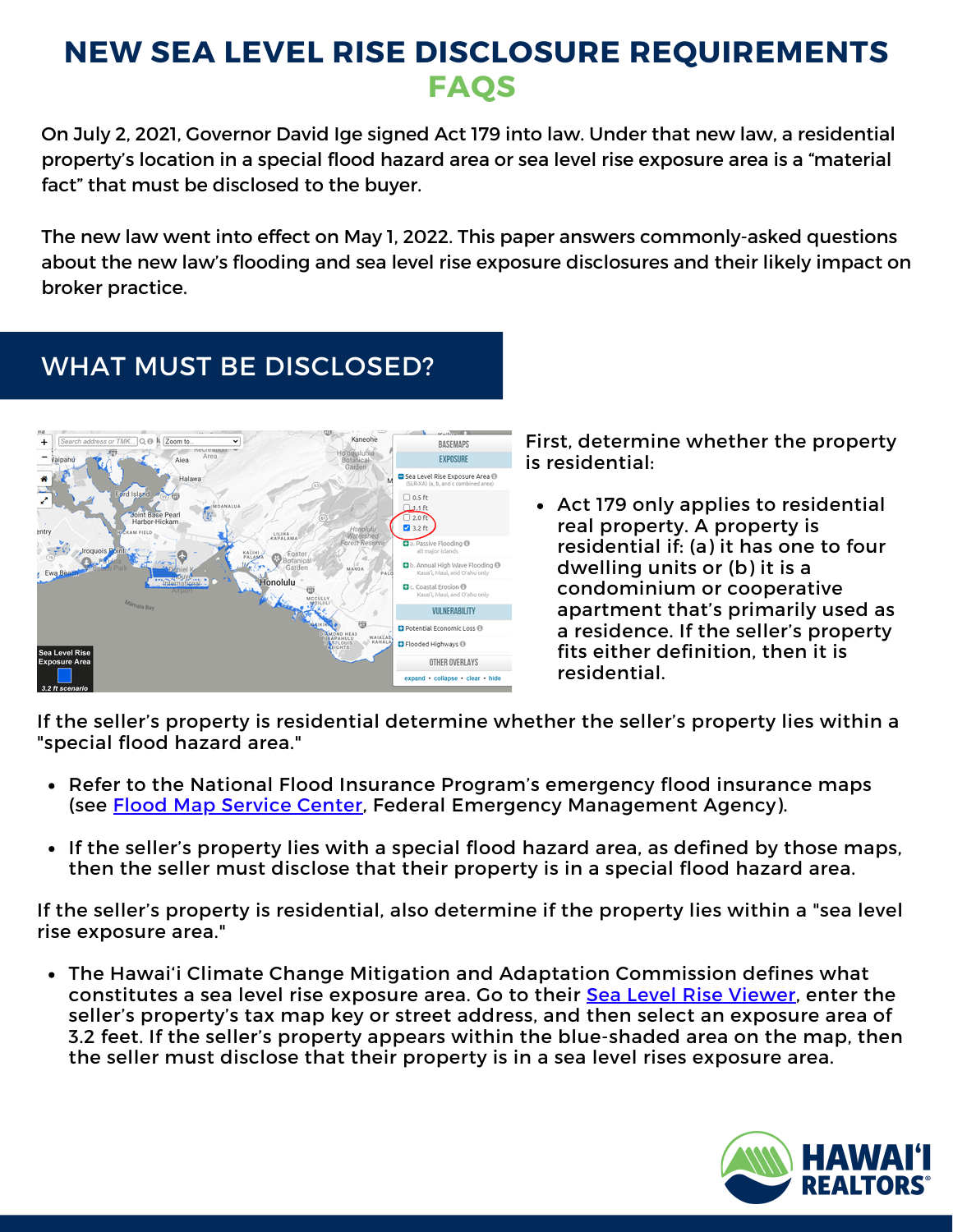## **NEW SEA LEVEL RISE DISCLOSURE REQUIREMENTS FAQS**

On July 2, 2021, Governor David Ige signed Act 179 into law. Under that new law, a residential property's location in a special flood hazard area or sea level rise exposure area is a "material fact" that must be disclosed to the buyer.

The new law went into effect on May 1, 2022. This paper answers commonly-asked questions about the new law's flooding and sea level rise exposure disclosures and their likely impact on broker practice.

## WHAT MUST BE DISCLOSED?



First, determine whether the property is residential:

Act 179 only applies to residential real property. A property is residential if: (a) it has one to four dwelling units or (b) it is a condominium or cooperative apartment that's primarily used as a residence. If the seller's property fits either definition, then it is residential.

If the seller's property is residential determine whether the seller's property lies within a "special flood hazard area."

- Refer to the National Flood Insurance Program's emergency flood insurance maps (see **Flood Map [Service](https://msc.fema.gov/portal/home) Center**, Federal Emergency Management Agency).
- If the seller's property lies with a special flood hazard area, as defined by those maps, then the seller must disclose that their property is in a special flood hazard area.

If the seller's property is residential, also determine if the property lies within a "sea level rise exposure area."

The Hawai'i Climate Change Mitigation and Adaptation Commission defines what constitutes a sea level rise exposure area. Go to their Sea Level Rise [Viewer,](https://www.pacioos.hawaii.edu/shoreline/slr-hawaii/) enter the seller's property's tax map key or street address, and then select an exposure area of 3.2 feet. If the seller's property appears within the blue-shaded area on the map, then the seller must disclose that their property is in a sea level rises exposure area.